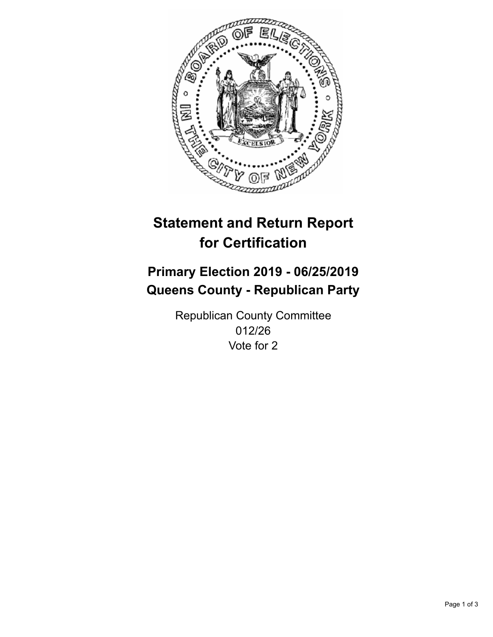

## **Statement and Return Report for Certification**

## **Primary Election 2019 - 06/25/2019 Queens County - Republican Party**

Republican County Committee 012/26 Vote for 2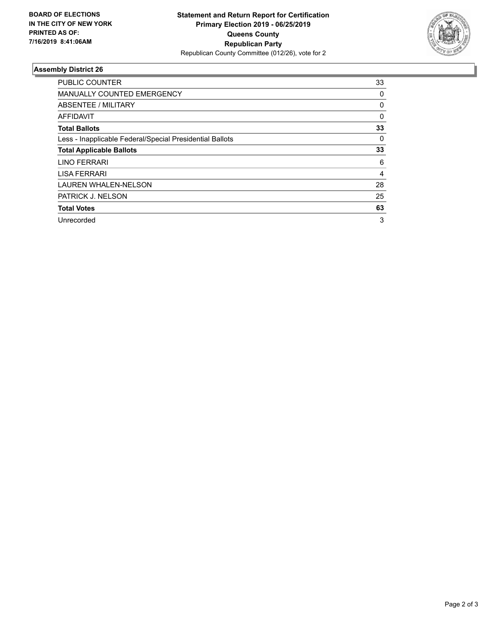

## **Assembly District 26**

| <b>PUBLIC COUNTER</b>                                    | 33       |
|----------------------------------------------------------|----------|
| <b>MANUALLY COUNTED EMERGENCY</b>                        | 0        |
| ABSENTEE / MILITARY                                      | 0        |
| AFFIDAVIT                                                | $\Omega$ |
| <b>Total Ballots</b>                                     | 33       |
| Less - Inapplicable Federal/Special Presidential Ballots | 0        |
| <b>Total Applicable Ballots</b>                          | 33       |
| LINO FERRARI                                             | 6        |
| <b>LISA FERRARI</b>                                      | 4        |
| <b>LAUREN WHALEN-NELSON</b>                              | 28       |
| PATRICK J. NELSON                                        | 25       |
| <b>Total Votes</b>                                       | 63       |
| Unrecorded                                               | 3        |